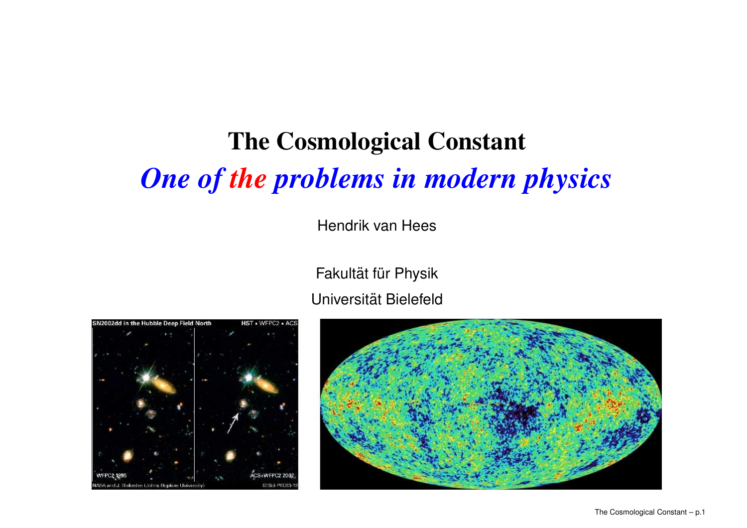# **The Cosmological Constant** *One of the problems in modern physics*

Hendrik van Hees

Fakultät für Physik Universität Bielefeld



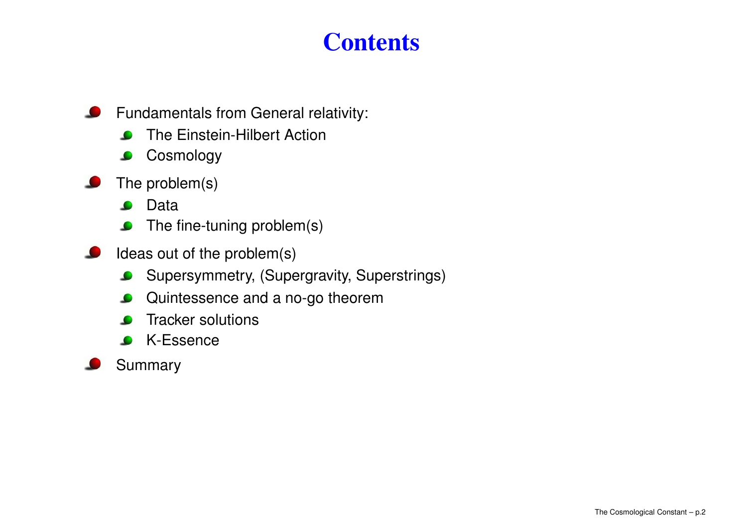## **Contents**

- $\bullet$ Fundamentals from General relativity:
	- The Einstein-Hilbert Action
	- **Cosmology**  $\bullet$
- The problem(s)
	- Data $\bullet$
	- The fine-tuning problem(s)
- Ideas out of the problem(s)
	- Supersymmetry, (Supergravity, Superstrings)  $\bullet$
	- Quintessence and <sup>a</sup> no-go theorem  $\bullet$
	- Tracker solutions
	- K-Essence $\bullet$
- Summary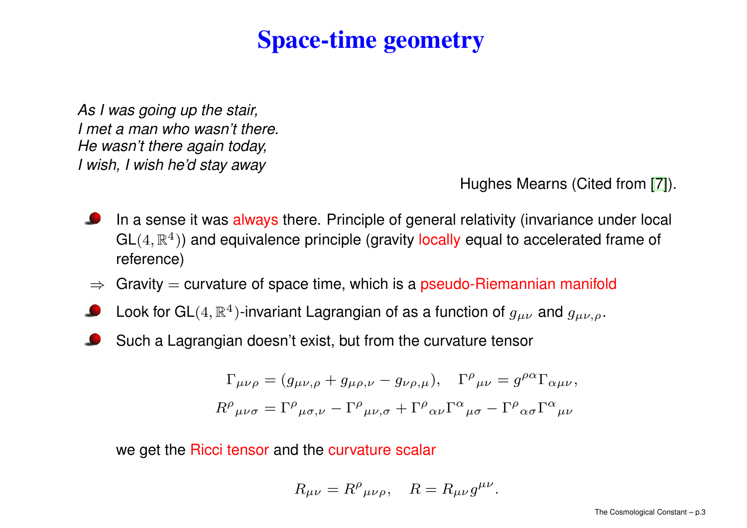### **Space-time geometry**

As I was going up the stair, I met a man who wasn't there. He wasn't there again today, I wish, I wish he'd stay away

Hughes Mearns (Cited [fro](#page-16-0)m [7]).

- In a sense it was always there. Principle of general relativity (invariance under local  $GL(4, \mathbb{R}^4)$ ) and equivalence principle (gravity locally equal to accelerated frame of reference)
- $\Rightarrow$  Gravity = curvature of space time, which is a pseudo-Riemannian manifold
- Look for GL $(4,\mathbb{R}^{4})$ -invariant Lagrangian of as a function of  $g_{\mu\nu}$  and  $g_{\mu\nu,\rho}.$
- Such <sup>a</sup> Lagrangian doesn't exist, but from the curvature tensor

$$
\Gamma_{\mu\nu\rho} = (g_{\mu\nu,\rho} + g_{\mu\rho,\nu} - g_{\nu\rho,\mu}), \quad \Gamma^{\rho}{}_{\mu\nu} = g^{\rho\alpha} \Gamma_{\alpha\mu\nu},
$$
  

$$
R^{\rho}{}_{\mu\nu\sigma} = \Gamma^{\rho}{}_{\mu\sigma,\nu} - \Gamma^{\rho}{}_{\mu\nu,\sigma} + \Gamma^{\rho}{}_{\alpha\nu} \Gamma^{\alpha}{}_{\mu\sigma} - \Gamma^{\rho}{}_{\alpha\sigma} \Gamma^{\alpha}{}_{\mu\nu}
$$

we get the Ricci tensor and the curvature scalar

$$
R_{\mu\nu} = R^{\rho}{}_{\mu\nu\rho}, \quad R = R_{\mu\nu}g^{\mu\nu}.
$$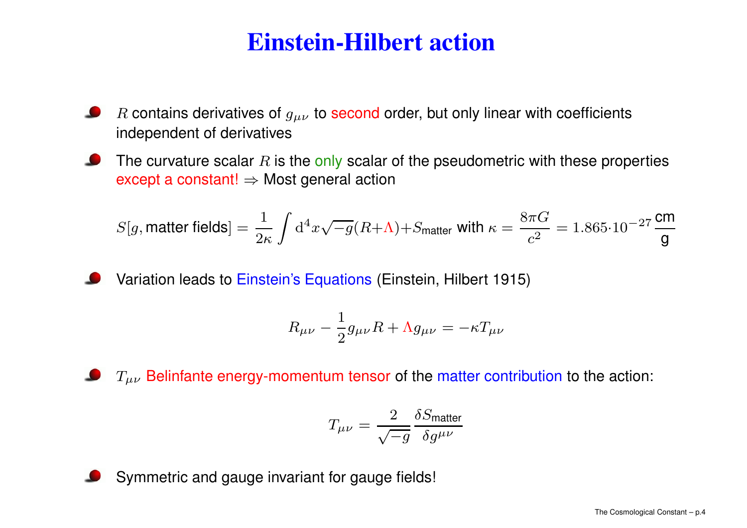## **Einstein-Hilbert action**

- $R$  contains derivatives of  $g_{\mu\nu}$  to second order, but only linear with coefficients independent of derivatives
- The curvature scalar  $R$  is the only scalar of the pseudometric with these properties except a constant!  $\Rightarrow$  Most general action

$$
S[g, \text{matter fields}] = \frac{1}{2\kappa} \int \mathrm{d}^4 x \sqrt{-g} (R + \Lambda) + S_{\text{matter}} \text{ with } \kappa = \frac{8\pi G}{c^2} = 1.865 \cdot 10^{-27} \frac{\text{cm}}{\text{g}}
$$

Variation leads to Einstein's Equations (Einstein, Hilbert 1915)

$$
R_{\mu\nu} - \frac{1}{2}g_{\mu\nu}R + \Lambda g_{\mu\nu} = -\kappa T_{\mu\nu}
$$

 $T_{\mu\nu}$  Belinfante energy-momentum tensor of the matter contribution to the action:

$$
T_{\mu\nu}=\frac{2}{\sqrt{-g}}\frac{\delta S_{\rm matter}}{\delta g^{\mu\nu}}
$$

Symmetric and gauge invariant for gauge fields!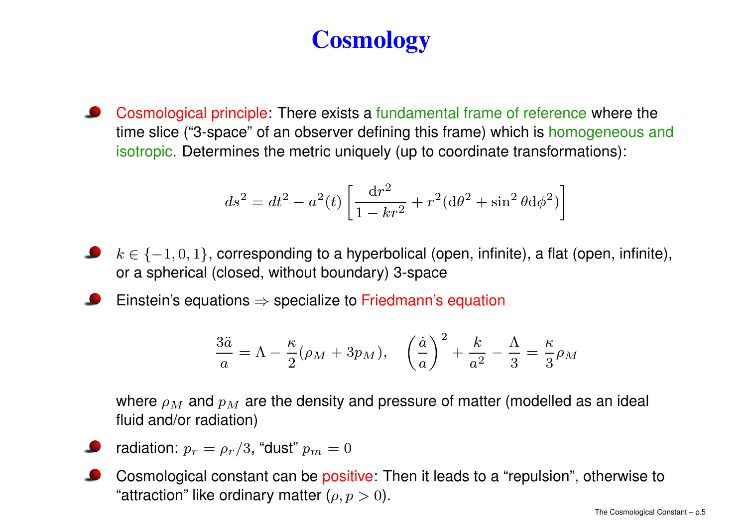# **Cosmology**

Cosmological principle: There exists <sup>a</sup> fundamental frame of reference where the time slice ("3-space" of an observer defining this frame) which is homogeneous and isotropic. Determines the metric uniquely (up to coordinate transformations):

$$
ds^{2} = dt^{2} - a^{2}(t) \left[ \frac{\mathrm{d}r^{2}}{1 - kr^{2}} + r^{2} (\mathrm{d}\theta^{2} + \sin^{2}\theta \mathrm{d}\phi^{2}) \right]
$$

- $k \in \{-1,0,1\}$ , corresponding to a hyperbolical (open, infinite), a flat (open, infinite), or a spherical (closed, without boundary) 3-space
- Einstein's equations  $\Rightarrow$  specialize to Friedmann's equation

$$
\frac{3\ddot{a}}{a} = \Lambda - \frac{\kappa}{2}(\rho_M + 3p_M), \quad \left(\frac{\dot{a}}{a}\right)^2 + \frac{k}{a^2} - \frac{\Lambda}{3} = \frac{\kappa}{3}\rho_M
$$

where  $\rho_M$  and  $p_M$  are the density and pressure of matter (modelled as an ideal fluid and/or radiation)

- radiation:  $p_r = \rho_r/3$ , "dust"  $p_m = 0$
- Cosmological constant can be positive: Then it leads to <sup>a</sup> "repulsion", otherwise to "attraction" like ordinary matter  $(\rho,p>0).$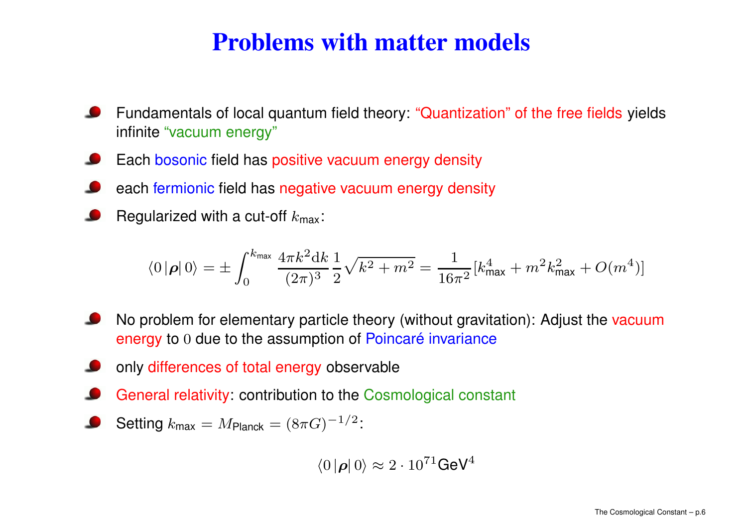## **Problems with matter models**

- Fundamentals of local quantum field theory: "Quantization" of the free fields yields infinite "vacuum energy"
- Each bosonic field has positive vacuum energy density
- each fermionic field has negative vacuum energy density
- Regularized with a cut-off  $k_{\text{max}}$ :

$$
\langle 0 | \rho | 0 \rangle = \pm \int_0^{k_{\text{max}}} \frac{4 \pi k^2 \mathrm{d} k}{(2 \pi)^3} \frac{1}{2} \sqrt{k^2 + m^2} = \frac{1}{16 \pi^2} [k_{\text{max}}^4 + m^2 k_{\text{max}}^2 + O(m^4)]
$$

- No problem for elementary particle theory (without gravitation): Adjust the vacuum energy to <sup>0</sup> due to the assumption of Poincaré invariance
- only differences of total energy observable
- General relativity: contribution to the Cosmological constant
- Setting  $k_{\text{max}} = M_{\text{Planck}} = (8\pi G)^{-1/2}$ :

$$
\langle 0 | \boldsymbol{\rho} | 0 \rangle \approx 2 \cdot 10^{71} \text{GeV}^4
$$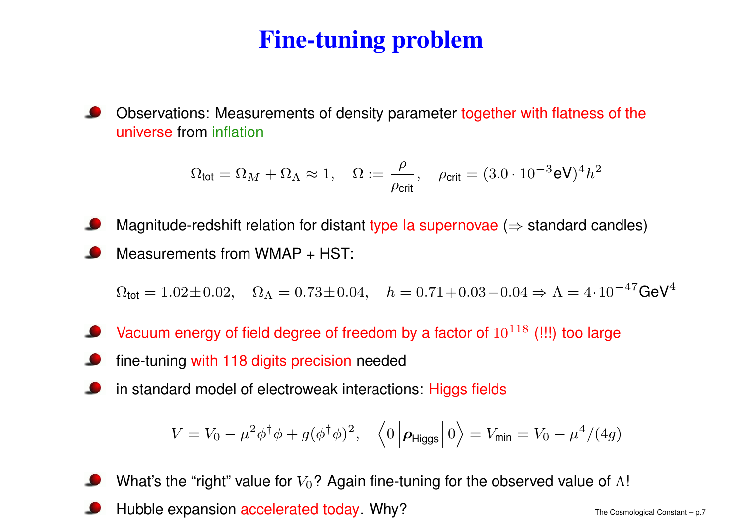# **Fine-tuning problem**

Observations: Measurements of density parameter together with flatness of the universe from inflation

$$
\Omega_{\text{tot}} = \Omega_M + \Omega_\Lambda \approx 1, \quad \Omega := \frac{\rho}{\rho_{\text{crit}}}, \quad \rho_{\text{crit}} = (3.0 \cdot 10^{-3} \text{eV})^4 h^2
$$

Magnitude-redshift relation for distant type Ia supernovae ( $\Rightarrow$  standard candles) Measurements from WMAP <sup>+</sup> HST:

 $\Omega_\mathsf{tot} = 1.02\pm0.02, \quad \Omega_\Lambda = 0.73\pm0.04, \quad h = 0.71+0.03-0.04 \Rightarrow \Lambda = 4\cdot10^{-47} \mathsf{GeV}^4$ 

- Vacuum energy of field degree of freedom by a factor of  $10^{118}\,$  (!!!) too large
- fine-tuning with 118 digits precision needed
- in standard model of electroweak interactions: Higgs fields

$$
V = V_0 - \mu^2 \phi^{\dagger} \phi + g(\phi^{\dagger} \phi)^2, \quad \left\langle 0 \left| \boldsymbol{\rho}_{\text{Higgs}} \right| 0 \right\rangle = V_{\text{min}} = V_0 - \mu^4 / (4g)
$$

What's the "right" value for  $V_0$ ? Again fine-tuning for the observed value of  $\Lambda!$ 

Hubble expansion accelerated today. Why?  $\blacksquare$  The Cosmological Constant – p.7  $\blacksquare$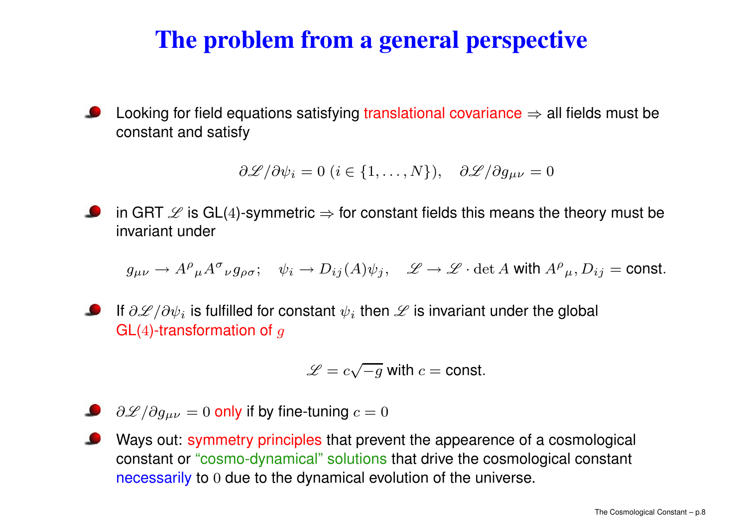# **The problem from <sup>a</sup> general perspective**

Looking for field equations satisfying translational covariance  $\Rightarrow$  all fields must be constant and satisfy

$$
\frac{\partial \mathscr{L}}{\partial \psi_i} = 0 \ (i \in \{1, \dots, N\}), \quad \frac{\partial \mathscr{L}}{\partial g_{\mu\nu}} = 0
$$

in GRT  $\mathscr L$  is GL(4)-symmetric  $\Rightarrow$  for constant fields this means the theory must be invariant under

 $g_{\mu\nu} \to A^{\rho}{}_{\mu}A^{\sigma}{}_{\nu}g_{\rho\sigma}; \quad \psi_i \to D_{ij}(A)\psi_j, \quad \mathscr{L} \to \mathscr{L} \cdot \det A$  with  $A^{\rho}{}_{\mu}, D_{ij} = \text{const.}$ 

If  $\partial \mathscr{L}/\partial \psi_i$  is fulfilled for constant  $\psi_i$  then  $\mathscr L$  is invariant under the global  $GL(4)$ -transformation of g

$$
\mathscr{L} = c\sqrt{-g} \text{ with } c = \text{const.}
$$

- $\partial \mathscr{L}/\partial g_{\mu\nu}=0$  only if by fine-tuning  $c=0$
- Ways out: symmetry principles that prevent the appearence of <sup>a</sup> cosmological constant or "cosmo-dynamical" solutions that drive the cosmological constant necessarily to <sup>0</sup> due to the dynamical evolution of the universe.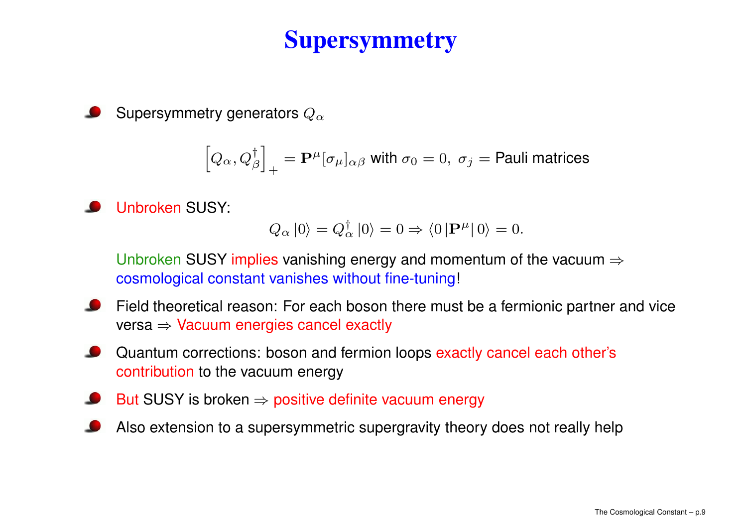## **Supersymmetry**

Supersymmetry generators  $Q_{\alpha}$ 

$$
\left[Q_\alpha,Q_\beta^\dagger\right]_+ = \mathbf{P}^\mu[\sigma_\mu]_{\alpha\beta} \text{ with } \sigma_0=0, \; \sigma_j=\text{Pauli matrices}
$$

Unbroken SUSY:

$$
Q_{\alpha} |0\rangle = Q_{\alpha}^{\dagger} |0\rangle = 0 \Rightarrow \langle 0 | \mathbf{P}^{\mu} | 0 \rangle = 0.
$$

Unbroken SUSY implies vanishing energy and momentum of the vacuum  $\Rightarrow$ cosmological constant vanishes without fine-tuning!

- Field theoretical reason: For each boson there must be <sup>a</sup> fermionic partner and vice versa ⇒ Vacuum energies cancel exactly
- Quantum corrections: boson and fermion loops exactly cancel each other's contribution to the vacuum energy
- But SUSY is broken  $\Rightarrow$  positive definite vacuum energy
- Also extension to <sup>a</sup> supersymmetric supergravity theory does not really help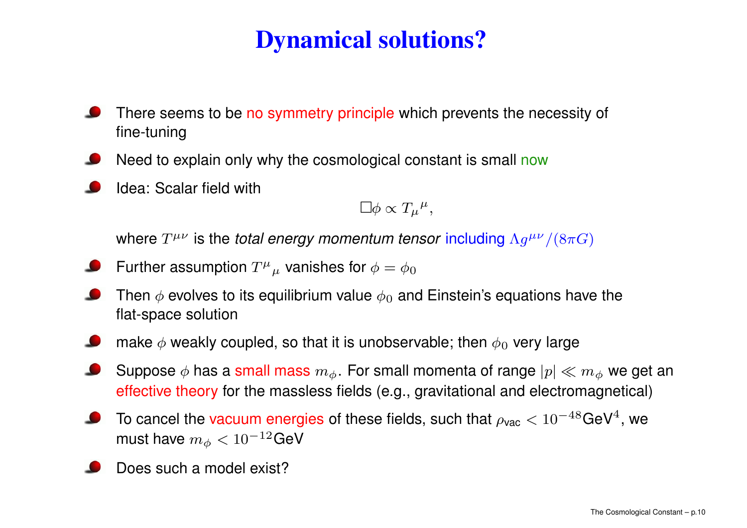# **Dynamical solutions?**

- There seems to be no symmetry principle which prevents the necessity of fine-tuning
- Need to explain only why the cosmological constant is small now
- Idea: Scalar field with

$$
\Box \phi \propto T_{\mu}{}^{\mu},
$$

where  $T^{\mu\nu}$  is the *total energy momentum tensor i*ncluding  $\Lambda g^{\mu\nu}/(8\pi G)$ 

- Further assumption  $T^{\mu}{}_{\mu}$  vanishes for  $\phi = \phi_0$
- Then  $\phi$  evolves to its equilibrium value  $\phi_0$  and Einstein's equations have the flat-space solution
- make  $\phi$  weakly coupled, so that it is unobservable; then  $\phi_0$  very large
- Suppose  $\phi$  has a small mass  $m_{\phi}$ . For small momenta of range  $|p| \ll m_{\phi}$  we get an effective theory for the massless fields (e.g., gravitational and electromagnetical)
- To cancel the vacuum energies of these fields, such that  $\rho_{\text{vac}} < 10^{-48} \text{GeV}^4$ , we must have  $m_\phi < 10^{-12}$ GeV
- Does such a model exist?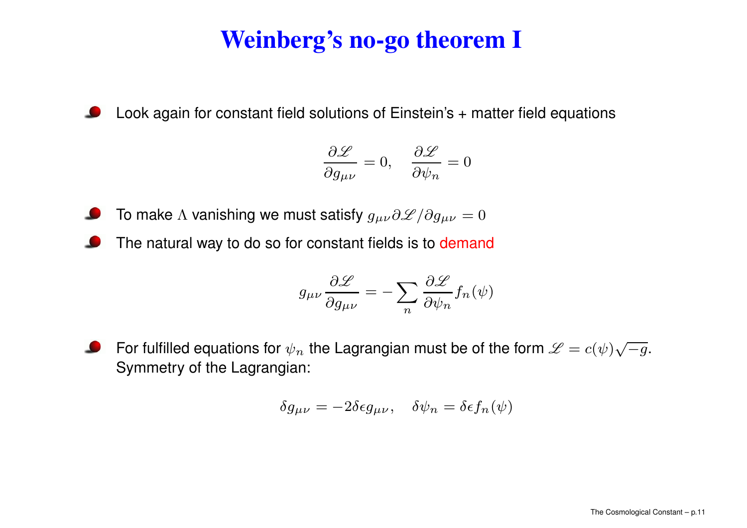# **Weinberg's no-go theorem I**

 $\bullet$ Look again for constant field solutions of Einstein's <sup>+</sup> matter field equations

$$
\frac{\partial \mathscr{L}}{\partial g_{\mu\nu}} = 0, \quad \frac{\partial \mathscr{L}}{\partial \psi_n} = 0
$$

- To make  $\Lambda$  vanishing we must satisfy  $g_{\mu\nu}\partial\mathscr{L}/\partial g_{\mu\nu}=0$
- The natural way to do so for constant fields is to demand

$$
g_{\mu\nu}\frac{\partial \mathcal{L}}{\partial g_{\mu\nu}} = -\sum_{n} \frac{\partial \mathcal{L}}{\partial \psi_n} f_n(\psi)
$$

For fulfilled equations for  $\psi_n$  the Lagrangian must be of the form  $\mathscr L = c(\psi)\sqrt{-g}.$ Symmetry of the Lagrangian:

$$
\delta g_{\mu\nu} = -2\delta \epsilon g_{\mu\nu}, \quad \delta \psi_n = \delta \epsilon f_n(\psi)
$$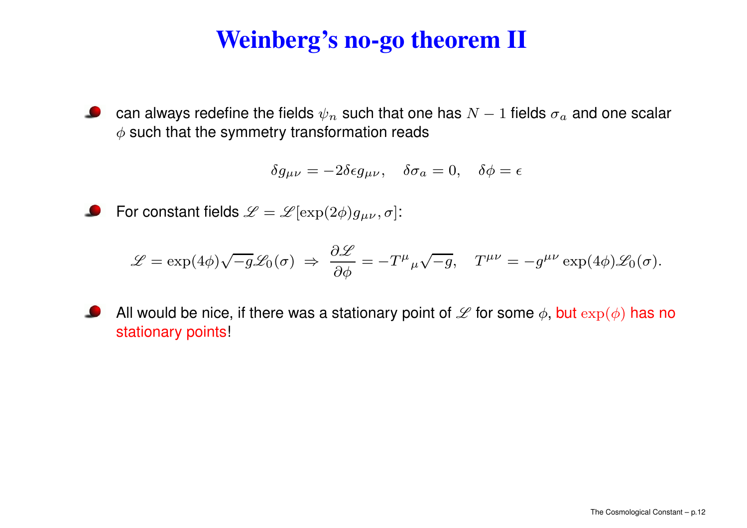# **Weinberg's no-go theorem II**

can always redefine the fields  $\psi_n$  such that one has  $N-1$  fields  $\sigma_a$  and one scalar **Sales**  $\phi$  such that the symmetry transformation reads

$$
\delta g_{\mu\nu} = -2\delta \epsilon g_{\mu\nu}, \quad \delta \sigma_a = 0, \quad \delta \phi = \epsilon
$$

 $\bullet$ For constant fields  $\mathscr{L}=\mathscr{L}[\exp(2\phi)g_{\mu\nu},\sigma]$ :

$$
\mathscr{L} = \exp(4\phi)\sqrt{-g}\mathscr{L}_0(\sigma) \implies \frac{\partial \mathscr{L}}{\partial \phi} = -T^\mu{}_\mu \sqrt{-g}, \quad T^{\mu\nu} = -g^{\mu\nu}\exp(4\phi)\mathscr{L}_0(\sigma).
$$

All would be nice, if there was a stationary point of  ${\mathscr L}$  for some  $\phi,$  but  $\exp(\phi)$  has no stationary points!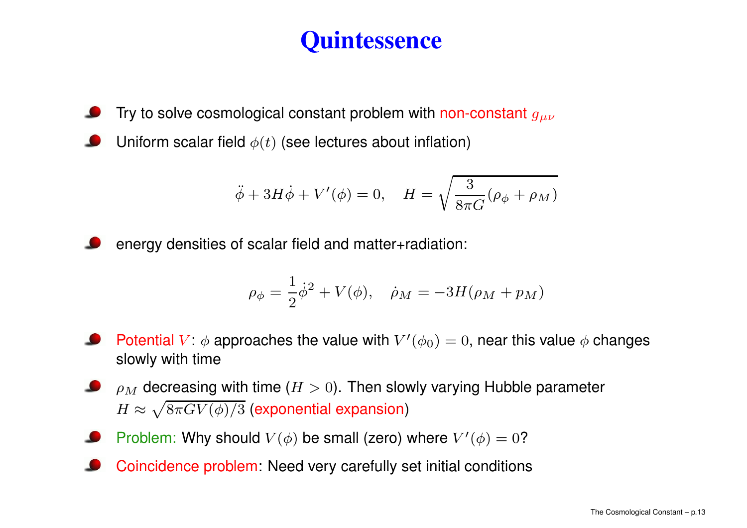## **Quintessence**

Try to solve cosmological constant problem with non-constant  $g_{\mu\nu}$ 

Uniform scalar field  $\phi(t)$  (see lectures about inflation)

$$
\ddot{\phi} + 3H\dot{\phi} + V'(\phi) = 0, \quad H = \sqrt{\frac{3}{8\pi G}(\rho_{\phi} + \rho_M)}
$$

energy densities of scalar field and matter+radiation:

$$
\rho_{\phi} = \frac{1}{2}\dot{\phi}^{2} + V(\phi), \quad \dot{\rho}_{M} = -3H(\rho_{M} + p_{M})
$$

- Potential  $V \colon \phi$  approaches the value with  $V'(\phi_0) = 0,$  near this value  $\phi$  changes slowly with time
- $\rho_M$  decreasing with time ( $H>0)$ . Then slowly varying Hubble parameter  $H \approx \sqrt{8\pi G V(\phi)/3}$  (exponential expansion)
- Problem: Why should  $V(\phi)$  be small (zero) where  $V'(\phi) = 0$ ?
- Coincidence problem: Need very carefully set initial conditions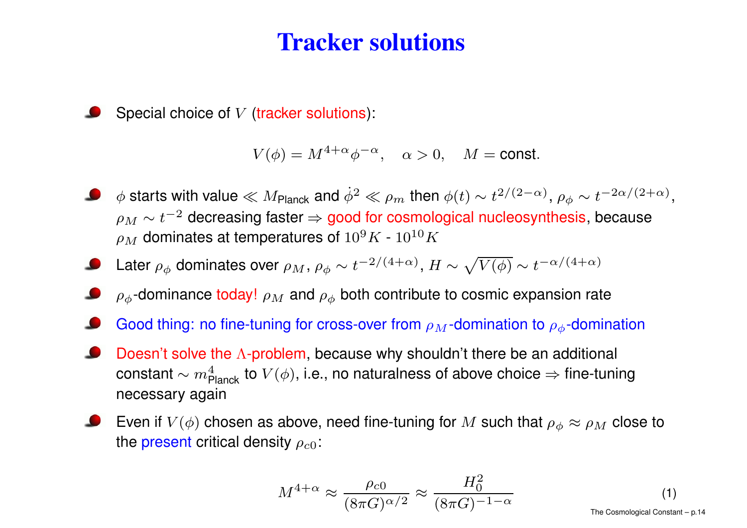#### **Tracker solutions**

Special choice of V (tracker solutions):

$$
V(\phi) = M^{4+\alpha} \phi^{-\alpha}, \quad \alpha > 0, \quad M = \text{const.}
$$

- $\phi$  starts with value  $\ll M$ <sub>Planck</sub> and  $\dot{\phi}^2\ll \rho_m$  then  $\phi(t)\sim t^{2/(2-\alpha)},$   $\rho_\phi\sim t^{-2\alpha/(2+\alpha)},$  $\rho_M \sim t^{-2}$  decreasing faster  $\Rightarrow$  good for cosmological nucleosynthesis, because  $\rho_M$  dominates at temperatures of  $10^9K$  -  $10^{10}K$
- Later  $\rho_{\phi}$  dominates over  $\rho_M$ ,  $\rho_{\phi} \sim t^{-2/(4+\alpha)}$ ,  $H \sim \sqrt{V(\phi)} \sim t^{-\alpha/(4+\alpha)}$
- $\rho_{\phi}$ -dominance today!  $\rho_M$  and  $\rho_{\phi}$  both contribute to cosmic expansion rate
- Good thing: no fine-tuning for cross-over from  $\rho_M$ -domination to  $\rho_\phi$ -domination
- Doesn't solve the  $\Lambda$ -problem, because why shouldn't there be an additional constant  $\sim m_\mathsf{Planck}^4$  to  $V(\phi)$ , i.e., no naturalness of above choice  $\Rightarrow$  fine-tuning necessary again
- Even if  $V(\phi)$  chosen as above, need fine-tuning for  $M$  such that  $\rho _{\phi}\approx \rho _{M}$  close to the present critical density  $\rho_{c0}$ :

$$
M^{4+\alpha} \approx \frac{\rho_{c0}}{(8\pi G)^{\alpha/2}} \approx \frac{H_0^2}{(8\pi G)^{-1-\alpha}}
$$
 (1)  
The Cosmological Constant – p.14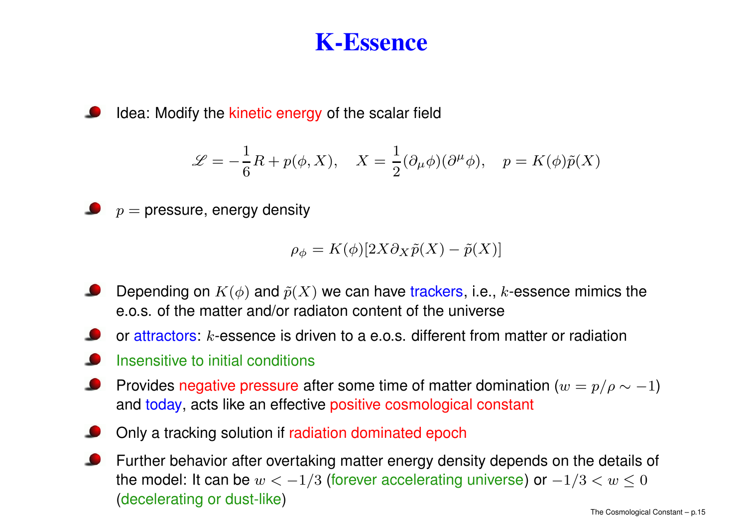#### **K-Essence**

Idea: Modify the kinetic energy of the scalar field

$$
\mathcal{L} = -\frac{1}{6}R + p(\phi, X), \quad X = \frac{1}{2}(\partial_{\mu}\phi)(\partial^{\mu}\phi), \quad p = K(\phi)\tilde{p}(X)
$$

 $p =$  pressure, energy density

$$
\rho_{\phi} = K(\phi)[2X\partial_X\tilde{p}(X) - \tilde{p}(X)]
$$

- Depending on  $K(\phi)$  and  $\tilde{p}(X)$  we can have trackers, i.e., k-essence mimics the e.o.s. of the matter and/or radiaton content of the universe
- or attractors:  $k$ -essence is driven to a e.o.s. different from matter or radiation
- Insensitive to initial conditions
- Provides negative pressure after some time of matter domination  $(w=p/\rho\sim -1)$ and today, acts like an effective positive cosmological constant
- Only <sup>a</sup> tracking solution if radiation dominated epoch
- Further behavior after overtaking matter energy density depends on the details of the model: It can be  $w<-1/3$  (forever accelerating universe) or  $-1/3 < w \leq 0$ (decelerating or dust-like)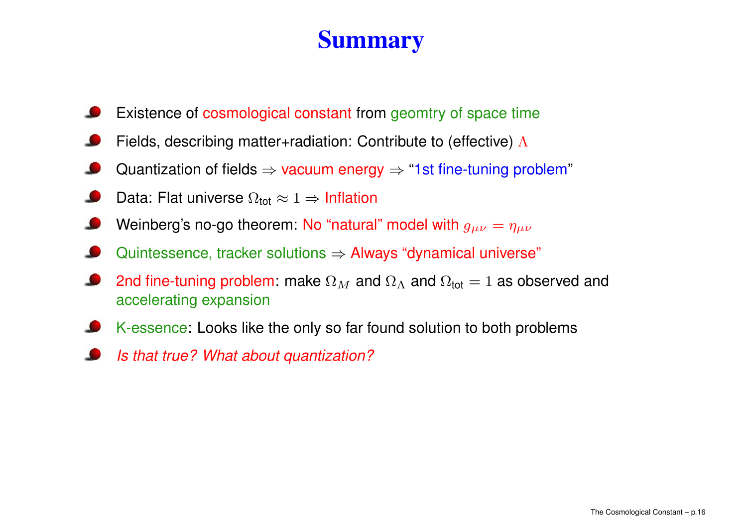## **Summary**

- Existence of cosmological constant from geomtry of space time
- Fields, describing matter+radiation: Contribute to (effective) Λ
- Quantization of fields  $\Rightarrow$  vacuum energy  $\Rightarrow$  "1st fine-tuning problem"
- Data: Flat universe  $\Omega_{\mathsf{tot}} \approx 1 \Rightarrow$  Inflation **Septiment**
- Weinberg's no-go theorem: No "natural" model with  $g_{\mu\nu} = \eta_{\mu\nu}$
- Quintessence, tracker solutions  $\Rightarrow$  Always "dynamical universe"
- 2nd fine-tuning problem: make  $\Omega_M$  and  $\Omega_{\Lambda}$  and  $\Omega_{\mathsf{tot}}=1$  as observed and accelerating expansion
- K-essence: Looks like the only so far found solution to both problems
- Is that true? What about quantization?